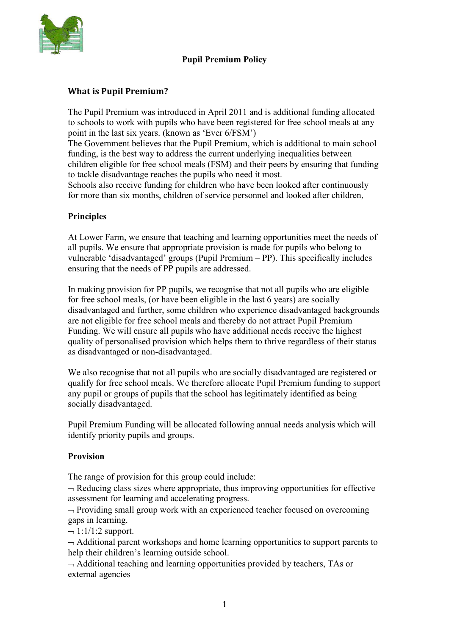

# **Pupil Premium Policy**

## **What is Pupil Premium?**

The Pupil Premium was introduced in April 2011 and is additional funding allocated to schools to work with pupils who have been registered for free school meals at any point in the last six years. (known as 'Ever 6/FSM')

The Government believes that the Pupil Premium, which is additional to main school funding, is the best way to address the current underlying inequalities between children eligible for free school meals (FSM) and their peers by ensuring that funding to tackle disadvantage reaches the pupils who need it most.

Schools also receive funding for children who have been looked after continuously for more than six months, children of service personnel and looked after children,

#### **Principles**

At Lower Farm, we ensure that teaching and learning opportunities meet the needs of all pupils. We ensure that appropriate provision is made for pupils who belong to vulnerable 'disadvantaged' groups (Pupil Premium – PP). This specifically includes ensuring that the needs of PP pupils are addressed.

In making provision for PP pupils, we recognise that not all pupils who are eligible for free school meals, (or have been eligible in the last 6 years) are socially disadvantaged and further, some children who experience disadvantaged backgrounds are not eligible for free school meals and thereby do not attract Pupil Premium Funding. We will ensure all pupils who have additional needs receive the highest quality of personalised provision which helps them to thrive regardless of their status as disadvantaged or non-disadvantaged.

We also recognise that not all pupils who are socially disadvantaged are registered or qualify for free school meals. We therefore allocate Pupil Premium funding to support any pupil or groups of pupils that the school has legitimately identified as being socially disadvantaged.

Pupil Premium Funding will be allocated following annual needs analysis which will identify priority pupils and groups.

#### **Provision**

The range of provision for this group could include:

 $\neg$  Reducing class sizes where appropriate, thus improving opportunities for effective assessment for learning and accelerating progress.

 $\neg$  Providing small group work with an experienced teacher focused on overcoming gaps in learning.

 $-1:1/1:2$  support.

 $\rightarrow$  Additional parent workshops and home learning opportunities to support parents to help their children's learning outside school.

 $\neg$  Additional teaching and learning opportunities provided by teachers, TAs or external agencies